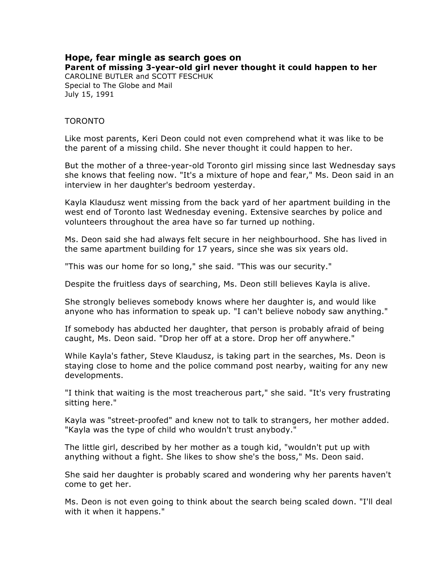## **Hope, fear mingle as search goes on Parent of missing 3-year-old girl never thought it could happen to her** CAROLINE BUTLER and SCOTT FESCHUK

Special to The Globe and Mail July 15, 1991

## TORONTO

Like most parents, Keri Deon could not even comprehend what it was like to be the parent of a missing child. She never thought it could happen to her.

But the mother of a three-year-old Toronto girl missing since last Wednesday says she knows that feeling now. "It's a mixture of hope and fear," Ms. Deon said in an interview in her daughter's bedroom yesterday.

Kayla Klaudusz went missing from the back yard of her apartment building in the west end of Toronto last Wednesday evening. Extensive searches by police and volunteers throughout the area have so far turned up nothing.

Ms. Deon said she had always felt secure in her neighbourhood. She has lived in the same apartment building for 17 years, since she was six years old.

"This was our home for so long," she said. "This was our security."

Despite the fruitless days of searching, Ms. Deon still believes Kayla is alive.

She strongly believes somebody knows where her daughter is, and would like anyone who has information to speak up. "I can't believe nobody saw anything."

If somebody has abducted her daughter, that person is probably afraid of being caught, Ms. Deon said. "Drop her off at a store. Drop her off anywhere."

While Kayla's father, Steve Klaudusz, is taking part in the searches, Ms. Deon is staying close to home and the police command post nearby, waiting for any new developments.

"I think that waiting is the most treacherous part," she said. "It's very frustrating sitting here."

Kayla was "street-proofed" and knew not to talk to strangers, her mother added. "Kayla was the type of child who wouldn't trust anybody."

The little girl, described by her mother as a tough kid, "wouldn't put up with anything without a fight. She likes to show she's the boss," Ms. Deon said.

She said her daughter is probably scared and wondering why her parents haven't come to get her.

Ms. Deon is not even going to think about the search being scaled down. "I'll deal with it when it happens."